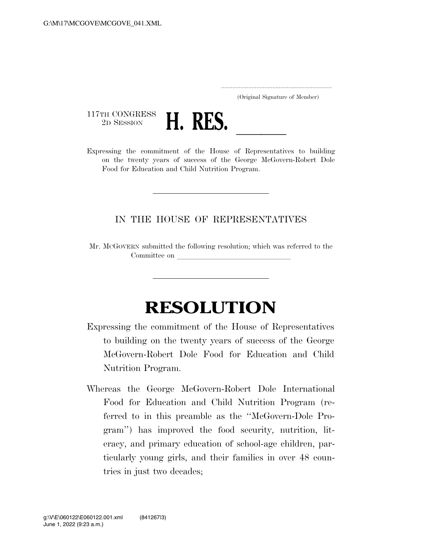..................................................................... (Original Signature of Member)

117TH CONGRESS<br>2D SESSION



2D SESSION **H. KES.** <u>In the House of Representatives</u> to building on the twenty years of success of the George McGovern-Robert Dole Food for Education and Child Nutrition Program.

## IN THE HOUSE OF REPRESENTATIVES

Mr. MCGOVERN submitted the following resolution; which was referred to the Committee on

## **RESOLUTION**

Expressing the commitment of the House of Representatives to building on the twenty years of success of the George McGovern-Robert Dole Food for Education and Child Nutrition Program.

Whereas the George McGovern-Robert Dole International Food for Education and Child Nutrition Program (referred to in this preamble as the ''McGovern-Dole Program'') has improved the food security, nutrition, literacy, and primary education of school-age children, particularly young girls, and their families in over 48 countries in just two decades;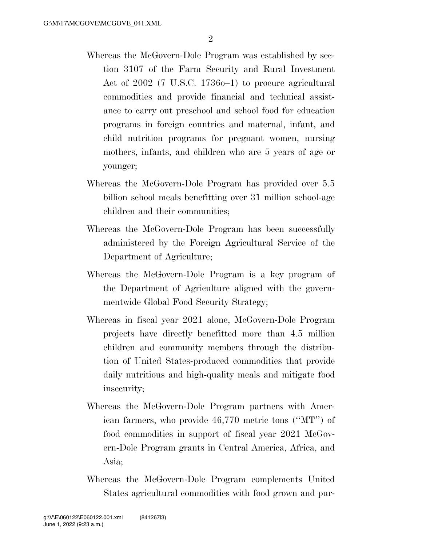- Whereas the McGovern-Dole Program was established by section 3107 of the Farm Security and Rural Investment Act of 2002 (7 U.S.C. 1736o–1) to procure agricultural commodities and provide financial and technical assistance to carry out preschool and school food for education programs in foreign countries and maternal, infant, and child nutrition programs for pregnant women, nursing mothers, infants, and children who are 5 years of age or younger;
- Whereas the McGovern-Dole Program has provided over 5.5 billion school meals benefitting over 31 million school-age children and their communities;
- Whereas the McGovern-Dole Program has been successfully administered by the Foreign Agricultural Service of the Department of Agriculture;
- Whereas the McGovern-Dole Program is a key program of the Department of Agriculture aligned with the governmentwide Global Food Security Strategy;
- Whereas in fiscal year 2021 alone, McGovern-Dole Program projects have directly benefitted more than 4.5 million children and community members through the distribution of United States-produced commodities that provide daily nutritious and high-quality meals and mitigate food insecurity;
- Whereas the McGovern-Dole Program partners with American farmers, who provide 46,770 metric tons (''MT'') of food commodities in support of fiscal year 2021 McGovern-Dole Program grants in Central America, Africa, and Asia;
- Whereas the McGovern-Dole Program complements United States agricultural commodities with food grown and pur-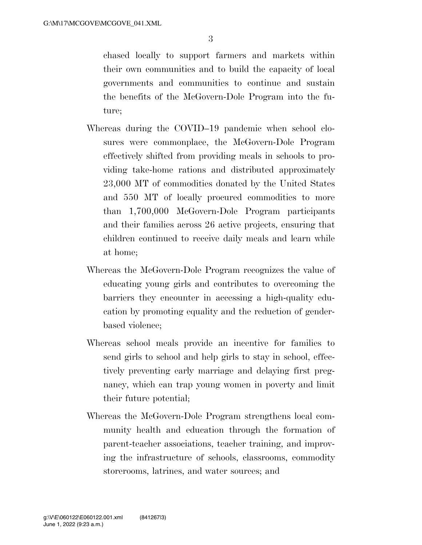chased locally to support farmers and markets within their own communities and to build the capacity of local governments and communities to continue and sustain the benefits of the McGovern-Dole Program into the future;

- Whereas during the COVID–19 pandemic when school closures were commonplace, the McGovern-Dole Program effectively shifted from providing meals in schools to providing take-home rations and distributed approximately 23,000 MT of commodities donated by the United States and 550 MT of locally procured commodities to more than 1,700,000 McGovern-Dole Program participants and their families across 26 active projects, ensuring that children continued to receive daily meals and learn while at home;
- Whereas the McGovern-Dole Program recognizes the value of educating young girls and contributes to overcoming the barriers they encounter in accessing a high-quality education by promoting equality and the reduction of genderbased violence;
- Whereas school meals provide an incentive for families to send girls to school and help girls to stay in school, effectively preventing early marriage and delaying first pregnancy, which can trap young women in poverty and limit their future potential;
- Whereas the McGovern-Dole Program strengthens local community health and education through the formation of parent-teacher associations, teacher training, and improving the infrastructure of schools, classrooms, commodity storerooms, latrines, and water sources; and